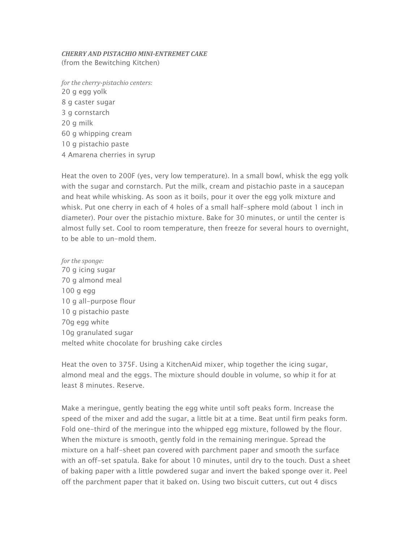## *CHERRY AND PISTACHIO MINI-ENTREMET CAKE* (from the Bewitching Kitchen)

*for the cherry-pistachio centers:* 20 g egg yolk 8 g caster sugar 3 g cornstarch 20 g milk 60 g whipping cream 10 g pistachio paste 4 Amarena cherries in syrup

Heat the oven to 200F (yes, very low temperature). In a small bowl, whisk the egg yolk with the sugar and cornstarch. Put the milk, cream and pistachio paste in a saucepan and heat while whisking. As soon as it boils, pour it over the egg yolk mixture and whisk. Put one cherry in each of 4 holes of a small half-sphere mold (about 1 inch in diameter). Pour over the pistachio mixture. Bake for 30 minutes, or until the center is almost fully set. Cool to room temperature, then freeze for several hours to overnight, to be able to un-mold them.

*for the sponge:* 70 g icing sugar 70 g almond meal 100 g egg 10 g all-purpose flour 10 g pistachio paste 70g egg white 10g granulated sugar melted white chocolate for brushing cake circles

Heat the oven to 375F. Using a KitchenAid mixer, whip together the icing sugar, almond meal and the eggs. The mixture should double in volume, so whip it for at least 8 minutes. Reserve.

Make a meringue, gently beating the egg white until soft peaks form. Increase the speed of the mixer and add the sugar, a little bit at a time. Beat until firm peaks form. Fold one-third of the meringue into the whipped egg mixture, followed by the flour. When the mixture is smooth, gently fold in the remaining meringue. Spread the mixture on a half-sheet pan covered with parchment paper and smooth the surface with an off-set spatula. Bake for about 10 minutes, until dry to the touch. Dust a sheet of baking paper with a little powdered sugar and invert the baked sponge over it. Peel off the parchment paper that it baked on. Using two biscuit cutters, cut out 4 discs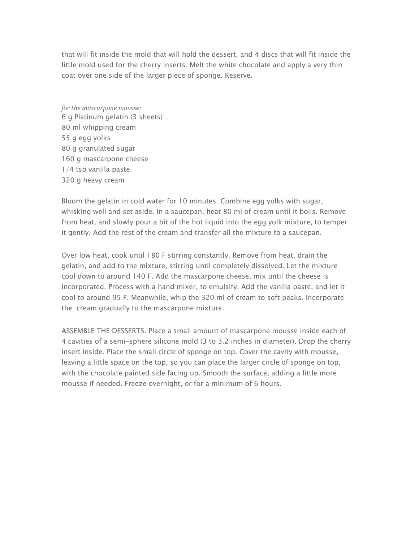that will fit inside the mold that will hold the dessert, and 4 discs that will fit inside the little mold used for the cherry inserts. Melt the white chocolate and apply a very thin coat over one side of the larger piece of sponge. Reserve.

*for the mascarpone mousse:* 6 g Platinum gelatin (3 sheets) 80 ml whipping cream 55 g egg yolks 80 g granulated sugar 160 g mascarpone cheese 1/4 tsp vanilla paste 320 g heavy cream

Bloom the gelatin in cold water for 10 minutes. Combine egg yolks with sugar, whisking well and set aside. In a saucepan, heat 80 ml of cream until it boils. Remove from heat, and slowly pour a bit of the hot liquid into the egg yolk mixture, to temper it gently. Add the rest of the cream and transfer all the mixture to a saucepan.

Over low heat, cook until 180 F stirring constantly. Remove from heat, drain the gelatin, and add to the mixture, stirring until completely dissolved. Let the mixture cool down to around 140 F. Add the mascarpone cheese, mix until the cheese is incorporated. Process with a hand mixer, to emulsify. Add the vanilla paste, and let it cool to around 95 F. Meanwhile, whip the 320 ml of cream to soft peaks. Incorporate the cream gradually to the mascarpone mixture.

ASSEMBLE THE DESSERTS. Place a small amount of mascarpone mousse inside each of 4 cavities of a semi-sphere silicone mold (3 to 3.2 inches in diameter). Drop the cherry insert inside. Place the small circle of sponge on top. Cover the cavity with mousse, leaving a little space on the top, so you can place the larger circle of sponge on top, with the chocolate painted side facing up. Smooth the surface, adding a little more mousse if needed. Freeze overnight, or for a minimum of 6 hours.